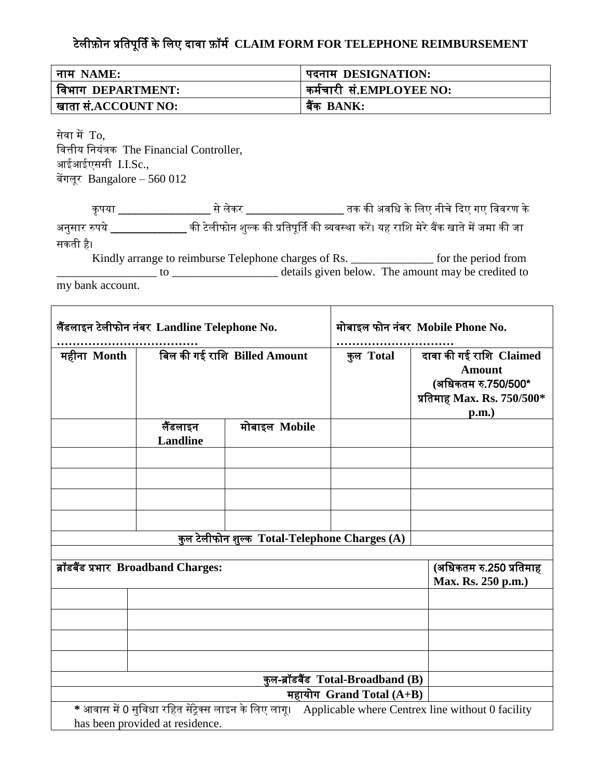## टेलीफ़ोन प्रतिपूर्िि के तलए दावा फ़ॉर्ि **CLAIM FORM FOR TELEPHONE REIMBURSEMENT**

| नाम NAME:           | पदनाम DESIGNATION:       |
|---------------------|--------------------------|
| विभाग DEPARTMENT:   | कर्मचारी सं.EMPLOYEE NO: |
| खाता सं.ACCOUNT NO: | बैंक BANK:               |

सेवा में To, तवत्तीय तनयंत्रक The Financial Controller, आईआईएससी I.I.Sc., बेंगलूर Bangalore – 560 012

| कपया         | से लेकर | ़तक की अवधि के लिए नीचे दिए गए विवरण के                                                |
|--------------|---------|----------------------------------------------------------------------------------------|
| अनुसार रुपये |         | की टेलीफोन शुल्क की प्रतिपूर्ति की व्यवस्था करें। यह राशि मेरे बैंक खाते में जमा की जा |
| सकती है।     | ET 11   |                                                                                        |

Kindly arrange to reimburse Telephone charges of Rs. \_\_\_\_\_\_\_\_\_\_\_\_\_\_ for the period from \_\_\_\_\_\_\_\_\_\_\_\_\_\_\_\_\_ to \_\_\_\_\_\_\_\_\_\_\_\_\_\_\_\_\_\_ details given below. The amount may be credited to my bank account.

| लैंडलाइन टेलीफोन नंबर Landline Telephone No.  |                                                                                          | मोबाइल फोन नंबर Mobile Phone No. |                                   |                                                                                                       |
|-----------------------------------------------|------------------------------------------------------------------------------------------|----------------------------------|-----------------------------------|-------------------------------------------------------------------------------------------------------|
| महीना Month                                   |                                                                                          | बिल की गई राशि Billed Amount     | कुल Total                         | दावा की गई राशि Claimed<br><b>Amount</b><br>(अधिकतम रु.750/500*<br>प्रतिमाह Max. Rs. 750/500*<br>p.m. |
|                                               | लैंडलाइन<br><b>Landline</b>                                                              | मोबाइल Mobile                    |                                   |                                                                                                       |
|                                               |                                                                                          |                                  |                                   |                                                                                                       |
|                                               |                                                                                          |                                  |                                   |                                                                                                       |
|                                               |                                                                                          |                                  |                                   |                                                                                                       |
|                                               |                                                                                          |                                  |                                   |                                                                                                       |
| कुल टेलीफोन शुल्क Total-Telephone Charges (A) |                                                                                          |                                  |                                   |                                                                                                       |
|                                               | ब्रॉडबैंड प्रभार Broadband Charges:                                                      |                                  |                                   | (अधिकतम रु.250 प्रतिमाह<br>Max. Rs. 250 p.m.)                                                         |
|                                               |                                                                                          |                                  |                                   |                                                                                                       |
|                                               |                                                                                          |                                  |                                   |                                                                                                       |
|                                               |                                                                                          |                                  |                                   |                                                                                                       |
|                                               |                                                                                          |                                  |                                   |                                                                                                       |
|                                               |                                                                                          |                                  | कुल-ब्रॉडबैंड Total-Broadband (B) |                                                                                                       |
|                                               |                                                                                          |                                  | महायोग Grand Total $(A+B)$        |                                                                                                       |
|                                               | * आवास में 0 सुविधा रहित सेंट्रेक्स लाइन के लिए लागू।<br>has been provided at residence. |                                  |                                   | Applicable where Centrex line without 0 facility                                                      |